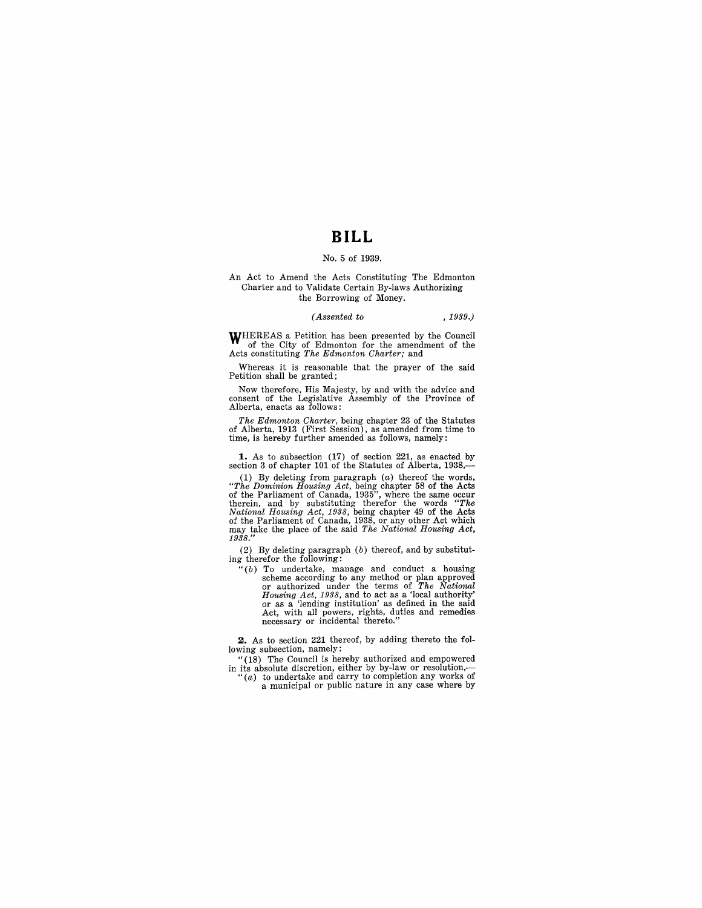## **BILL**

## No.5 of 1939.

#### An Act to Amend the Acts Constituting The Edmonton Charter and to Validate Certain By-laws Authorizing the Borrowing of Money.

## *(Assented to* , 1939.)

WHEREAS a Petition has been presented by the Council of the City of Edmonton for the amendment of the Acts constituting *The Edmonton Charter;* and

Whereas it is reasonable that the prayer of the said Petition shall be granted;

Now therefore, His Majesty, by and with the advice and consent of the Legislative Assembly of the Province of Alberta, enacts as follows:

*The Edmonton Charter,* being chapter 23 of the Statutes of Alberta, 1913 (First Session), as amended from time to time, is hereby further amended as follows, namely:

1. As to subsection (17) of section 221, as enacted by section 3 of chapter 101 of the Statutes of Alberta, 1938,-

(1) By deleting from paragraph (a) thereof the words, "The Dominion Housing Act, being chapter 58 of the Acts<br>of the Parliament of Canada, 1935", where the same occur<br>therein, and by substituting therefor the words "The<br>National Housing Act, 1938, being chapter 49 of the Act may take the place of the said *The National Housing Act,*  1938."

(2) By deleting paragraph (b) thereof, and by substitut-ing therefor the following:

 $"(b)$  To undertake, manage and conduct a housing scheme according to any method or plan approved or authorized under the terms of *The National Housing Act,* 1938, and to act as a 'local authority' or as a 'lending institution' as defined in the said Act, with all powers, rights, duties and remedies necessary or incidental thereto."

**2.** As to section 221 thereof, by adding thereto the following subsection, namely:

"(18) The Council is hereby authorized and empowered<br>in its absolute discretion, either by by-law or resolution,—<br>"(a) to undertake and carry to completion any works of<br>a municipal or public nature in any case where by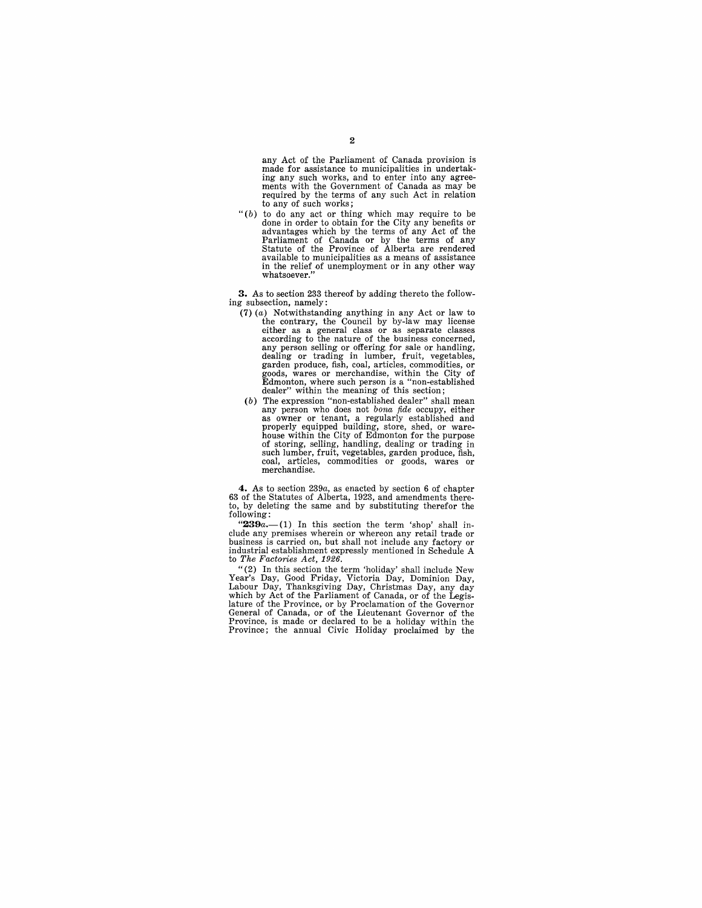any Act of the Parliament of Canada provision is made for assistance to municipalities in undertaking any such works, and to enter into any agree-ments with the Government of Canada as may be required by the terms of any such Act in relation to any of such works;

" $(b)$  to do any act or thing which may require to be done in order to obtain for the City any benefits or advantages which by the terms of any Act of the Parliament of Canada or by the terms of any Statute of the Province available to municipalities as a means of assistance in the relief of unemployment or in any other way whatsoever."

**3.** As to section 233 thereof by adding thereto the following subsection, namely:

- (7)  $(a)$  Notwithstanding anything in any Act or law to the contrary, the Council by by-law may license either as a general classes according to the nature of the business concerned, any person selling or offering for sale or handling,<br>dealing or trading in lumber, fruit, vegetables,<br>garden produce, fish, coal, articles, commodities, or<br>goods, wares or merchandise, within the City of<br>Edmonton, where su dealer" within the meaning of this section;<br>(b) The expression "non-established dealer" shall mean
- any person who does not *bona fide* occupy, either as owner or tenant, a regularly established and properly equipped building, store, shed, or warehouse within the City of Edmonton for the purpose of storing, selling, handling, dealing or trading in such lumber, fruit, vegetables, garden produce, fish, coal, articles, commodities or goods, wares or merchandise.

**4.** As to section *239a,* as enacted by section 6 of chapter 63 of the Statutes of Alberta, 1923, and amendments there-to, by deleting the same and by substituting therefor the following:

"239a.-(1) In this section the term 'shop' shall include any premises wherein or whereon any retail trade or business is carried on, but shall not include any factory or industrial establishment expressly mentioned in Schedule A to *The Factories Act, 1926.* 

"(2) In this section the term 'holiday' shall include New Year's Day, Good Friday, Victoria Day, Dominion Day, Labour Day, Thanksgiving Day, Christmas Day, any day which by Act of the Parliament of Canada, or of the Legislature of the Desistedlation of the Carollature of the Cana Province, is made or declared to be a holiday within the Province; the annual Civic Holiday proclaimed by the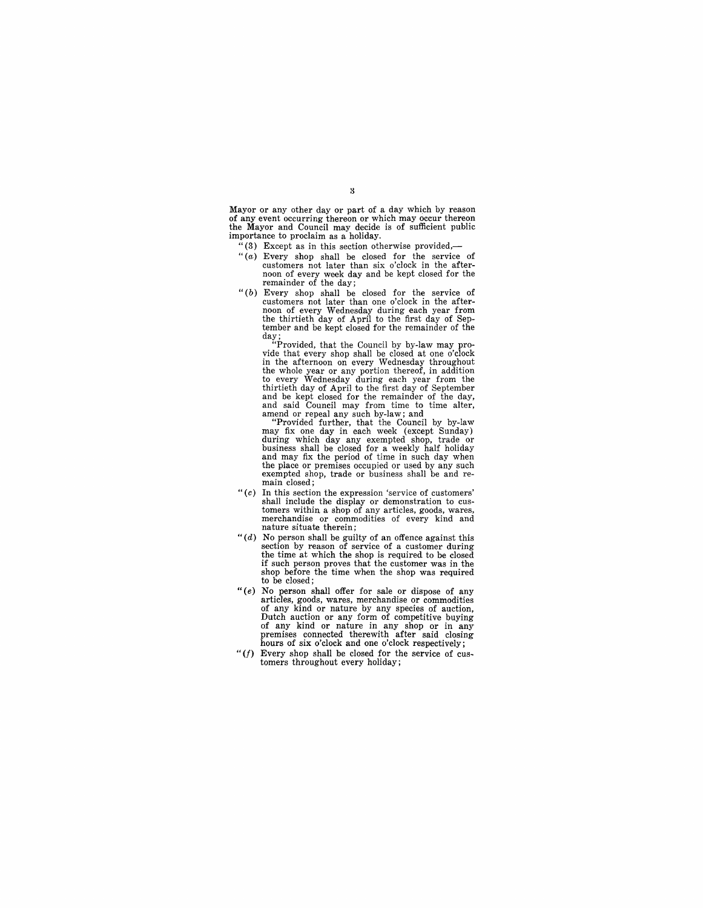Mayor or any other day or part of a day which by reason of any event occurring thereon or which may occur thereon the Mayor and Council may decide is of sufficient public importance to proclaim as a holiday.

- "(3) Except as in this section otherwise provided, $-$
- "(a) Every shop shall be closed for the service of customers not later than six o'clock in the after-<br>noon of every week day and be kept closed for the<br>remainder of the day;
- " $(b)$  Every shop shall be closed for the service of customers not later than one o'clock in the aftercustomers not later than one o'clock in the after- noon of every Vvednesday during each year from the thirtieth day of April to the first day of September and be kept closed for the remainder of the day; "Provided, that the Council by by-law may pro-

vide that every shop shall be closed at one o'clock<br>in the afternoon on every Wednesday throughout<br>the whole year or any portion thereof, in addition<br>to every Wednesday during each year from the<br>thirtieth day of April to t

and said Council may from time to time alter,<br>amend or repeal any such by-law; and<br>"Provided further, that the Council by by-law<br>may fix one day in each week (except Sunday)<br>during which day any exempted shop, trade or<br>bus and may fix the period of time in such day when the place or premises occupied or used by any such exempted shop, trade or business shall be and re-<br>main closed:

- *"(c)* In this section the expression 'service of customers' tomers within a shop of any articles, goods, wares, merchandise or commodities of every kind and nature situate therein;
- *"(d)* No person shall be guilty of an offence against this section by reason of service of a customer during the time at which the shop is required to be closed if such person proves that the customer was in the shop before the time when the shop was required to be closed;
- " (e) No person shall offer for sale or dispose of any articles, goods, wares, merchandise or commodities of any kind or nature by any species of auction, Dutch auction or any form of competitive buying of any kind or nature in any shop or in any premises connected therewith after said closing hours of six o'clock and one o'clock respectively;
- *"(I)* Every shop shall be closed for the service of cus- tomers throughout every holiday;

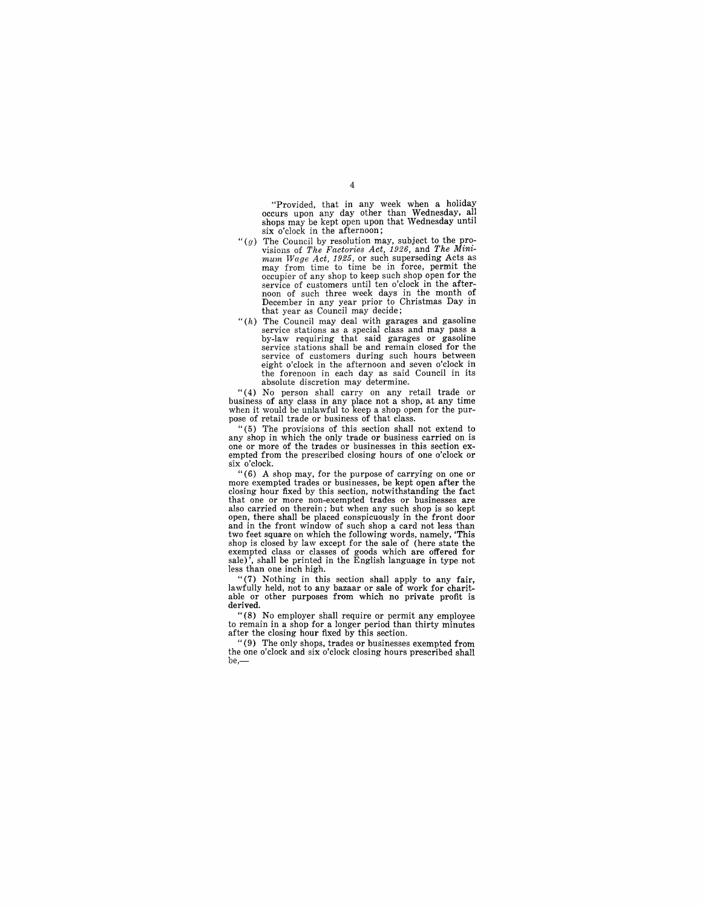"Provided, that in any week when a holiday occurs upon any day other than Wednesday, all shops may be kept open upon that Wednesday until six o'clock in the afternoon;

- *"(g)* The Council by resolution may, subject to the provisions of The *Mini-*<br>*mum Wage Act, 1926*, or such superseding Acts as<br>*mum Wage Act, 1925*, or such superseding Acts as<br>may from time to time be in force, permit t occupier of any shop to keep such shop open for the service of customers until ten o'clock in the afterservice of customers until ten o'clock in the after-<br>noon of such three week days in the month of<br>December in any year prior to Christmas Day in that year as Council may decide;
- " $(h)$  The Council may deal with garages and gasoline service stations as a special class and may pass a by-law requiring that said garages or gasoline service stations shall be and remain closed for the service of customers during such hours between eight o'clock in the afternoon and seven o'clock in the forenoon in each day as said Council in its absolute discretion may determine.

" ( 4) No person shall carryon any retail trade or business of any class in any place not a shop, at any time when it would be unlawful to keep a shop open for the purpose of retail trade or business of that class.

" (5) The provisions of this section shall not extend to any shop in which the only trade or business carried on is one or more of the trades or businesses in this section ex-<br>empted from the prescribed closing hours of one o'clock or<br>six o'clock.

 $\frac{6}{6}$  (6) A shop may, for the purpose of carrying on one or more exempted trades or businesses, be kept open after the closing hour fixed by this section, notwithstanding the fact that one or more non-exempted trades or businesses are also carried on therein; but when any such shop is so kept also carried on therein; but when any such shop is so kept open, there shall be placed conspicuously in the front door and in the front window of such shop a card not less than<br>two feet square on which the following words, namely, "This<br>shop is closed by law except for the sale of (here state the<br>exempted class or classes of goods which ar less than one inch high.

"(7) Nothing in this section shall apply to any fair, lawfully held, not to any bazaar or sale of work for charitable or other purposes from which no private profit is derived.

"(8) No employer shall require or permit any employee to remain in a shop for a longer period than thirty minutes after the closing hour fixed by this section.

"(9) The only shops, trades or businesses exempted from the one o'clock and six o'clock closing hours prescribed shall be,-

#### $\overline{4}$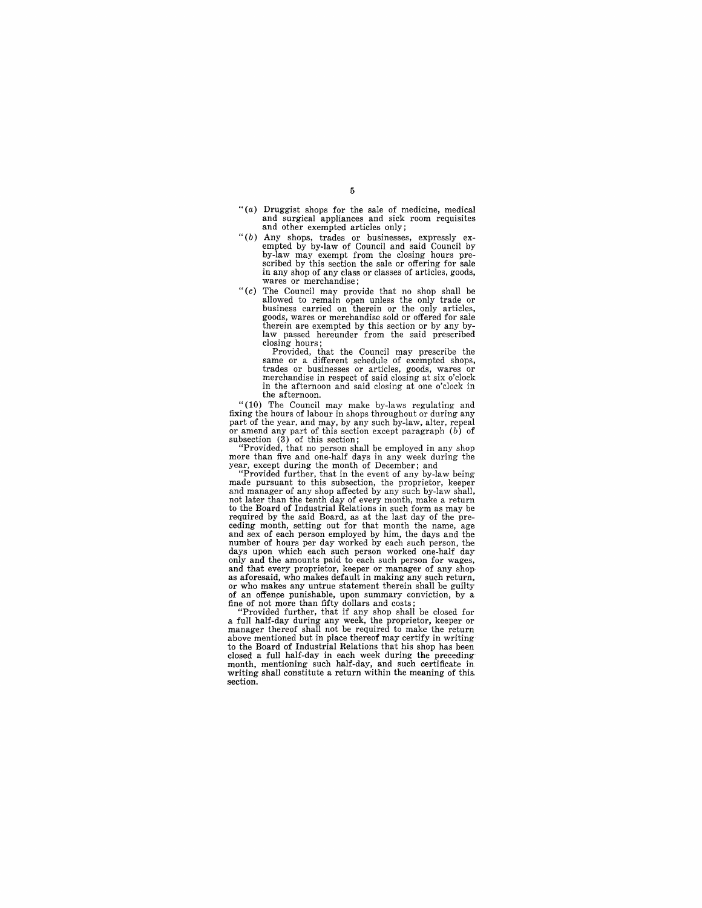- " $(a)$  Druggist shops for the sale of medicine, medical and surgical appliances and sick room requisites and other exempted articles only;
- " $(b)$  Any shops, trades or businesses, expressly ex-<br>empted by by-law of Council and said Council by by-law may exempt from the closing hours prescribed by this section the sale or offering for sale in any shop of any class or classes of articles, goods, wares or merchandise;
- *"(c)* The Council may provide that no shop shall be allowed to remain open unless the only trade or business carried on therein or the only articles, goods, wares or merchandise sold or offered for sale therein are exempted by this section or by any by-law passed hereunder from the said prescribed closing hours;

Provided, that the Council may prescribe the same or a different schedule of exempted shops, trades or businesses or articles, goods, wares or merchandise in respect of said closing at six o'clock in the afternoon and said closing at one o'clock in the afternoon.

"(10) The Council may make by-laws regulating and fixing the hours of labour in shops throughout or during any part of the year, and may, by any such by-law, alter, repeal or amend any part of this section except paragrap

"Provided, that no person shall be employed in any shop<br>more than five and one-half days in any week during the<br>year, except during the month of December; and<br>"Provided further, that in the event of any by-law being<br>made

and manager of any shop affected by any such by-law shall, not later than the tenth day of every month, make a return to the Board of Industrial Relations in such form as may be required by the said Board, as at the last day of the pre-<br>ceding month, setting out for that month the name, age<br>and sex of each person employed by him, the days and the<br>number of hours per day worked by each such person, days upon which each such person worked one-half day only and the amounts paid to each such person for wages, and that every proprietor, keeper or manager of any shop as a foresaid, who makes default in making any such return, or who makes any untrue statement therein shall be guilty of an offence punishable, upon summary conviction, by a fine of not more than fifty dollars and costs;

"Provided further, that if any shop shall be closed for a full half-day during any week, the proprietor, keeper or manager thereof shall not be required to make the return above mentioned but in place thereof may certify in writing<br>to the Board of Industrial Relations that his shop has been<br>closed a full half-day in each week during the preceding<br>month, mentioning such half-day, and such cer section.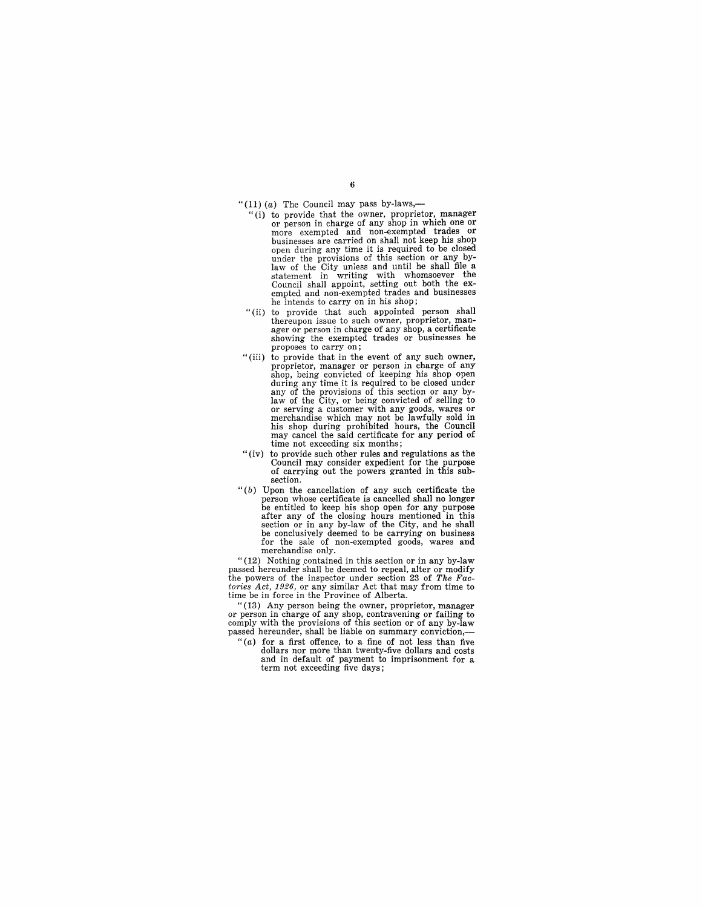"(11) (a) The Council may pass by-laws,--

- "(i) to provide that the owner, proprietor, manager or person in charge of any shop in which one or more exempted and non-exempted trades or businesses are carried on shall not keep his shop open during any time it is required to be closed under the provisions of this section or any bylaw of the City unless and until he shall file a statement in writing with whomsoever the Council shall appoint, setting out both the ex- empted and non-exempted trades and businesses he intends to carry on in his shop;
- "(ii) to provide that such appointed person shall thereupon issue to such owner, proprietor, manthereupon issue to such owner, proprietor, man-<br>ager or person in charge of any shop, a certificate<br>showing the exempted trades or businesses he proposes to carry on;
- "(iii) to provide that in the event of any such owner, proprietor, manager or person in charge of any shop, being convicted of keeping his shop open during any time it is required to be closed under any of the provisions of this section or any bylaw of the City, or being convicted of selling to or serving a customer with any goods, wares or merchandise which may not be lawfully sold in his shop during prohibited hours, the Council may cancel the said certificate for any period of time not exceeding six months;
- "(iv) to provide such other rules and regulations as the Council may consider expedient for the purpose of carrying out the powers granted in this subsection.
- *"(b)* Upon the cancellation of any such certificate the person whose certificate is cancelled shall no longer be entitled to keep his shop open for any purpose after any of the closing hours mentioned in this section or in any by-law of the City, and he shall be conclusively deemed to be carrying on business for the sale of non-exempted goods, wares and merchandise only.

" $(12)$  Nothing contained in this section or in any by-law passed hereunder shall be deemed to repeal, alter or modify the powers of the inspector under section 23 of *The Factories Act,* 1926, or any similar Act that may from time to time be in force in the Province of Alberta.

"(13) Any person being the owner, proprietor, manager or person in charge of any shop, contravening or failing to comply with the provisions of this section or of any by-law passed hereunder, shall be liable on summary conviction,-

" $(a)$  for a first offence, to a fine of not less than five dollars nor more than twenty-five dollars and costs and in default of payment to imprisonment for a term not exceeding five days;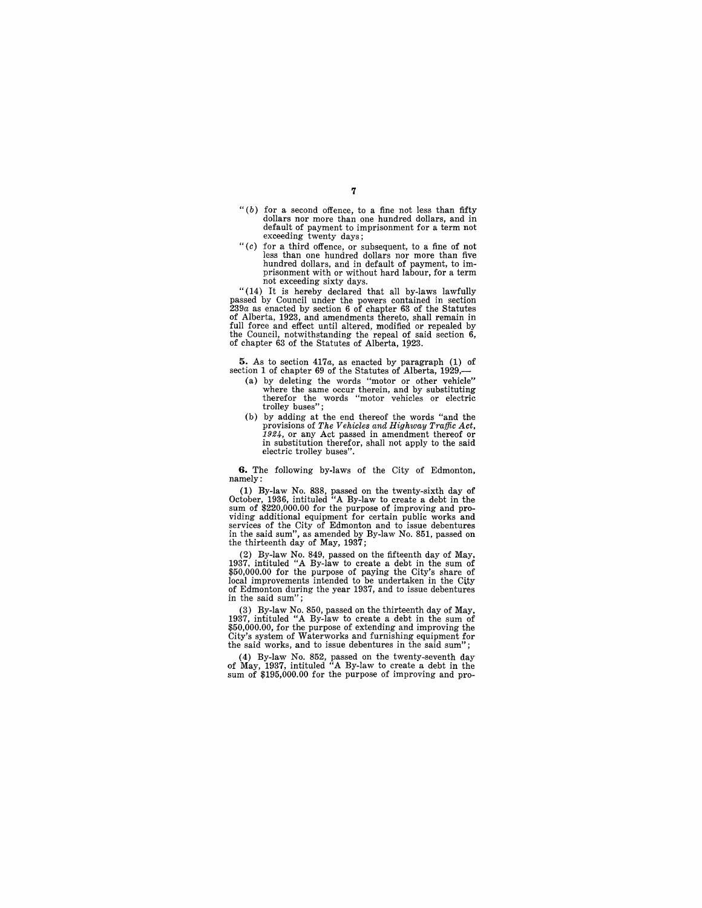- " (b) for a second offence, to a fine not less than fifty dollars nor more than one hundred dollars, and in default of payment to imprisonment for a term not exceeding twenty days;
- *"(c)* for a third offence, or subsequent, to a fine of not less than one hundred dollars nor more than five hundred dollars, and in default of payment, to imprisonment with or without hard labour, for a term not exceeding sixty days.

"(14) It is hereby declared that all by-laws lawfully passed by Council under the powers contained in section 239*a* as enacted by section 6 of chapter 63 of the Statutes of Alberta, 1923, and amendments thereto, shall remain in full force and effect until altered, modified or repealed by the Council, notwithstanding the repeal of said section 6, of chapter 63 of the Statutes of Alberta, 1923.

5. As to section 417*a*, as enacted by paragraph (1) of section 1 of chapter 69 of the Statutes of Alberta, 1929,—

- (a) by deleting the words "motor or other vehicle" where the same occur therein, and by substituting therefor the words "motor vehicles or electric trolley buses";
- (b) by adding at the end thereof the words "and the provisions of *The Vehicles and Highway Traffic Act*,  $1924$ , or any Act passed in amendment thereof or in substitution therefor, shall not apply to the said in substitution therefor, shall not apply to the said electric trolley buses".

**G.** The following by-laws of the City of Edmonton, namely:

(1) By-law No. 838, passed on the twenty-sixth day of October, 1936, intituled "A By-law to create a debt in the sum of \$220,000.00 for the purpose of improving and providing additional equipment for certain public works and services of the City of Edmonton and to issue debentures in the said sum", as amended by By-law No. 851, passed on the thirteenth day of May, 1937;

(2) By-law No. 849, passed on the fifteenth day of May. 1937. intituled "A By-law to create a debt in the sum of \$50,000.00 for the purpose of paying the City's share of local improvements intended to be undertaken in the City of Edmonton during the year 1937, and to issue debentures in the said sum";

(3) By-law No. 850, passed on the thirteenth day of May, 1937, intituled "A By-law to create a debt in the sum of \$50,000.00, for the purpose of extending and improving the City's system of Waterworks and furnishing equipment for the said works, and to issue debentures in the said sum";

(4) By-law No. 852, passed on the twenty-seventh day of May, 1937, intituled "A By-law to create a debt in the sum of \$195,000.00 for the purpose of improving and pro-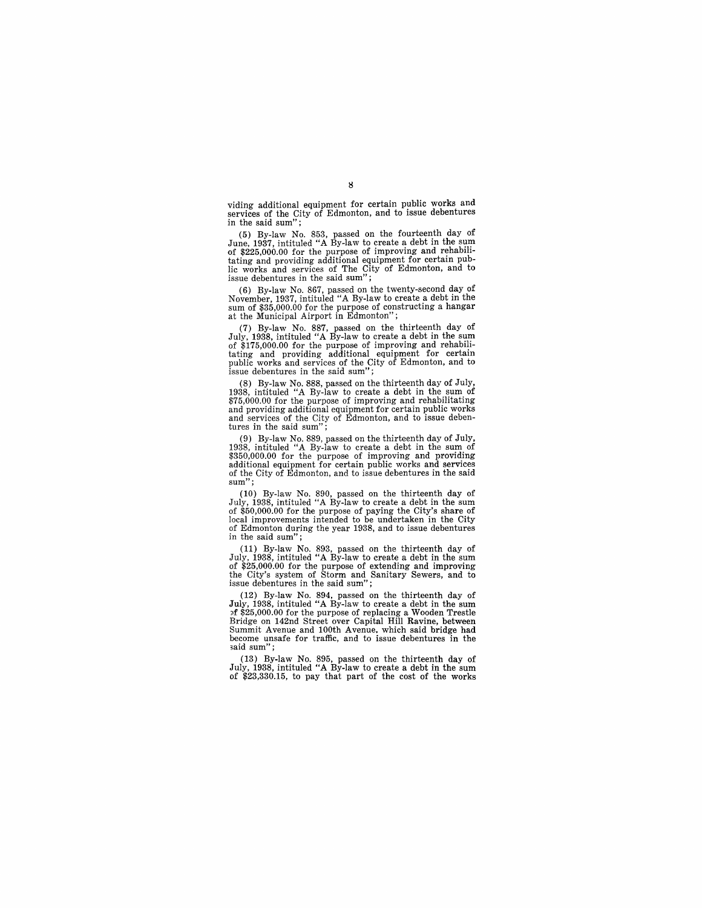viding additional equipment for certain public works and services of the City of Edmonton, and to issue debentures in the said sum";

(5) By-law No. 853, passed on the fourteenth day of June, 1937, intituled "A By-law to create a debt in the sum of \$225,000.00 for the purpose of improving and rehabilitating and providing additional equipment for certain lic works and services of The City of Edmonton, and to issue debentures in the said sum";

(6) By-law No. 867, passed on the twenty-second day of November, 1937, intituled "A By-law to create a debt in the sum of \$35,000.00 for the purpose of constructing a hangar at the Municipal Airport in Edmonton";

(7) By-law No. 887, passed on the thirteenth day of July, 1938, intituled "A By-law to create a debt in the sum of \$175,000.00 for the purpose of improving and rehabilitating and providing additional equipment for certain public works and services of the City of Edmonton, and to issue debentures in the said sum";

(8) By-law No. 888, passed on the thirteenth day of July, 1938, intituled "A By-law to create a debt in the sum of \$75,000.00 for the purpose of improving and rehabilitating and providing additional equipment for certain public works and services of the City of Edmonton, and to issue deben-tures in the said sum";

(9) By-law No. 889, passed on the thirteenth day of July,  $1938$ , intituled "A By-law to create a debt in the sum of \$350,000.00 for the purpose of improving and providing additional equipment for certain public works and of the City of Edmonton, and to issue debentures in the said sum":

(10) By-law No. 890, passed on the thirteenth day of July, 1938, intituled "A By-law to create a debt in the sum of \$50,000.00 for the purpose of paying the City's share of polocal improvements intended to be undertaken in the City of Edmonton during the year 1938, and to i in the said sum";

(11) By-law No. 893, passed on the thirteenth day of July, 1938, intituled "A By-law to create a debt in the sum July, 1938, intituled "A By-law to create a debt in the sum of \$25,000.00 for the purpose of extending and improving the City's system of Storm and Sanitary Sewers, and to issue debentures in the said sum";

(12) By-law No. 894, passed on the thirteenth day of July, 1938, intituled "A By-law to create a debt in the sum July, 1938, intituled "A By-law to create a debt in the sum j)f \$25,000.00 for the purpose of replacing a Wooden Trestle Bridge on 142nd Street over Capital Hill Ravine, between Summit Avenue and 100th Avenue, which said bridge had become unsafe for traffic, and to issue debentures in the said sum":

(13) By-law No. 895, passed on the thirteenth day of July, 1938, intituled "A By-law to create a debt in the sum of \$23,330.15, to pay that part of the cost of the works

## $\bf{8}$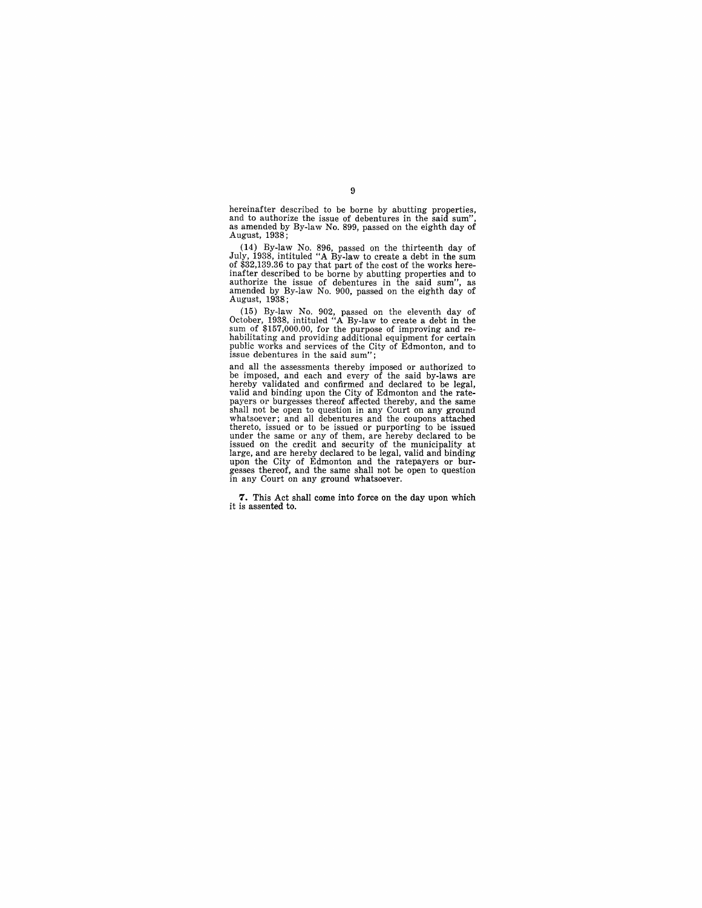hereinafter described to be borne by abutting properties, and to authorize the issue of debentures in the said sum", as amended by By-law No. 899, passed on the eighth day of August, 1938;

(14) By-law No. 896, passed on the thirteenth day of July, 1938, intituled "A By-law to create a debt in the sum of \$32,139.36 to pay that part of the cost of the works hereinfinanter described to be borne by abutting pro August, 1938;

(15) By-law No. 902, passed on the eleventh day of October, 1938, intituled "A By-law to create a debt in the number of \$157,000.00, for the purpose of improving and rehabilitating and nevoluding additional equipment for

and all the assessments thereby imposed or authorized to be imposed, and each and every of the said by-laws are hereby validated and confirmed and declared to be legal, valid and binding upon the City of Edmonton and the rate-<br>payers or burgesses thereof affected thereby, and the same<br>shall not be open to question in any Court on any ground<br>whatsoever; and all debentures and the coupons a thereto, issued or to be issued or purporting to be issued under the same or any of them, are hereby declared to be issued on the credit and security of the municipality at large, and are hereby declared to be legal, valid and binding upon the City of Edmonton and the ratepayers o in any Court on any ground whatsoever.

7. This Act shall come into force on the day upon which it is assented to.